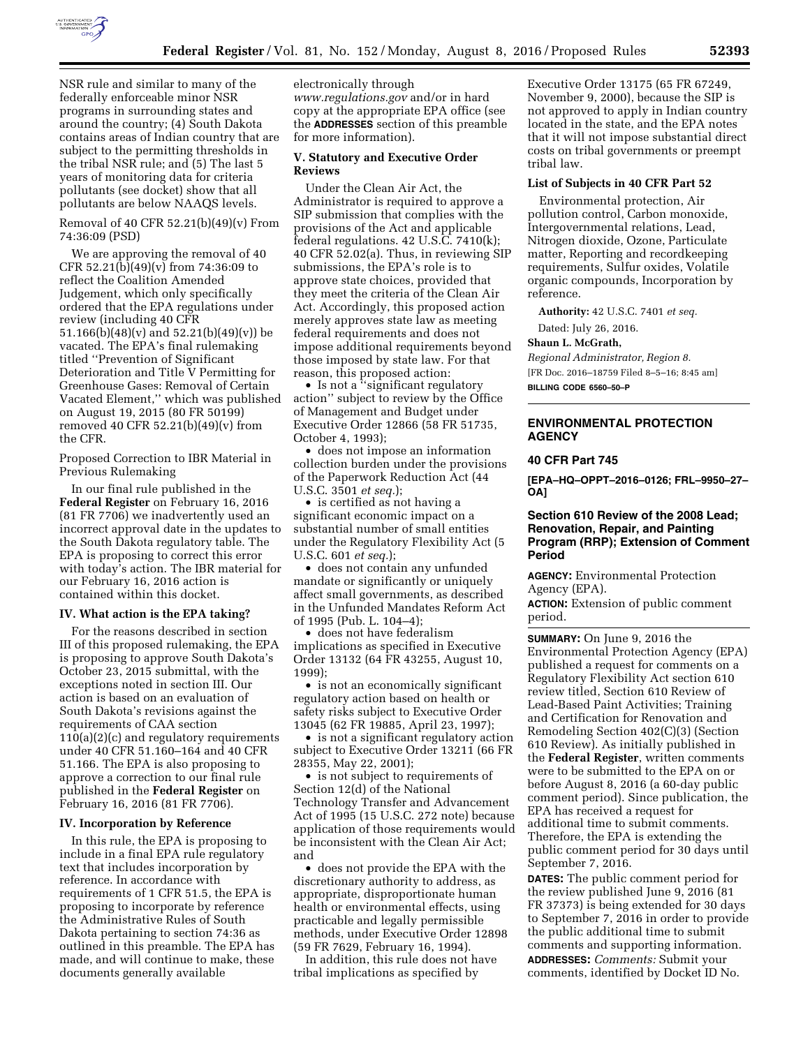

NSR rule and similar to many of the federally enforceable minor NSR programs in surrounding states and around the country; (4) South Dakota contains areas of Indian country that are subject to the permitting thresholds in the tribal NSR rule; and (5) The last 5 years of monitoring data for criteria pollutants (see docket) show that all pollutants are below NAAQS levels.

Removal of 40 CFR 52.21(b)(49)(v) From 74:36:09 (PSD)

We are approving the removal of 40 CFR 52.21(b)(49)(v) from 74:36:09 to reflect the Coalition Amended Judgement, which only specifically ordered that the EPA regulations under review (including 40 CFR 51.166(b)(48)(v) and 52.21(b)(49)(v)) be vacated. The EPA's final rulemaking titled ''Prevention of Significant Deterioration and Title V Permitting for Greenhouse Gases: Removal of Certain Vacated Element,'' which was published on August 19, 2015 (80 FR 50199) removed 40 CFR 52.21(b)(49)(v) from the CFR.

Proposed Correction to IBR Material in Previous Rulemaking

In our final rule published in the **Federal Register** on February 16, 2016 (81 FR 7706) we inadvertently used an incorrect approval date in the updates to the South Dakota regulatory table. The EPA is proposing to correct this error with today's action. The IBR material for our February 16, 2016 action is contained within this docket.

#### **IV. What action is the EPA taking?**

For the reasons described in section III of this proposed rulemaking, the EPA is proposing to approve South Dakota's October 23, 2015 submittal, with the exceptions noted in section III. Our action is based on an evaluation of South Dakota's revisions against the requirements of CAA section 110(a)(2)(c) and regulatory requirements under 40 CFR 51.160–164 and 40 CFR 51.166. The EPA is also proposing to approve a correction to our final rule published in the **Federal Register** on February 16, 2016 (81 FR 7706).

### **IV. Incorporation by Reference**

In this rule, the EPA is proposing to include in a final EPA rule regulatory text that includes incorporation by reference. In accordance with requirements of 1 CFR 51.5, the EPA is proposing to incorporate by reference the Administrative Rules of South Dakota pertaining to section 74:36 as outlined in this preamble. The EPA has made, and will continue to make, these documents generally available

electronically through *[www.regulations.gov](http://www.regulations.gov)* and/or in hard copy at the appropriate EPA office (see the **ADDRESSES** section of this preamble for more information).

# **V. Statutory and Executive Order Reviews**

Under the Clean Air Act, the Administrator is required to approve a SIP submission that complies with the provisions of the Act and applicable federal regulations. 42 U.S.C. 7410(k); 40 CFR 52.02(a). Thus, in reviewing SIP submissions, the EPA's role is to approve state choices, provided that they meet the criteria of the Clean Air Act. Accordingly, this proposed action merely approves state law as meeting federal requirements and does not impose additional requirements beyond those imposed by state law. For that reason, this proposed action:

• Is not a ''significant regulatory action'' subject to review by the Office of Management and Budget under Executive Order 12866 (58 FR 51735, October 4, 1993);

• does not impose an information collection burden under the provisions of the Paperwork Reduction Act (44 U.S.C. 3501 *et seq.*);

• is certified as not having a significant economic impact on a substantial number of small entities under the Regulatory Flexibility Act (5 U.S.C. 601 *et seq.*);

• does not contain any unfunded mandate or significantly or uniquely affect small governments, as described in the Unfunded Mandates Reform Act of 1995 (Pub. L. 104–4);

• does not have federalism implications as specified in Executive Order 13132 (64 FR 43255, August 10, 1999);

• is not an economically significant regulatory action based on health or safety risks subject to Executive Order 13045 (62 FR 19885, April 23, 1997);

• is not a significant regulatory action subject to Executive Order 13211 (66 FR 28355, May 22, 2001);

• is not subject to requirements of Section 12(d) of the National Technology Transfer and Advancement Act of 1995 (15 U.S.C. 272 note) because application of those requirements would be inconsistent with the Clean Air Act; and

• does not provide the EPA with the discretionary authority to address, as appropriate, disproportionate human health or environmental effects, using practicable and legally permissible methods, under Executive Order 12898 (59 FR 7629, February 16, 1994).

In addition, this rule does not have tribal implications as specified by

Executive Order 13175 (65 FR 67249, November 9, 2000), because the SIP is not approved to apply in Indian country located in the state, and the EPA notes that it will not impose substantial direct costs on tribal governments or preempt tribal law.

### **List of Subjects in 40 CFR Part 52**

Environmental protection, Air pollution control, Carbon monoxide, Intergovernmental relations, Lead, Nitrogen dioxide, Ozone, Particulate matter, Reporting and recordkeeping requirements, Sulfur oxides, Volatile organic compounds, Incorporation by reference.

**Authority:** 42 U.S.C. 7401 *et seq.* 

Dated: July 26, 2016.

# **Shaun L. McGrath,**

*Regional Administrator, Region 8.*  [FR Doc. 2016–18759 Filed 8–5–16; 8:45 am] **BILLING CODE 6560–50–P** 

**ENVIRONMENTAL PROTECTION AGENCY** 

#### **40 CFR Part 745**

**[EPA–HQ–OPPT–2016–0126; FRL–9950–27– OA]** 

# **Section 610 Review of the 2008 Lead; Renovation, Repair, and Painting Program (RRP); Extension of Comment Period**

**AGENCY:** Environmental Protection Agency (EPA).

**ACTION:** Extension of public comment period.

**SUMMARY:** On June 9, 2016 the Environmental Protection Agency (EPA) published a request for comments on a Regulatory Flexibility Act section 610 review titled, Section 610 Review of Lead-Based Paint Activities; Training and Certification for Renovation and Remodeling Section 402(C)(3) (Section 610 Review). As initially published in the **Federal Register**, written comments were to be submitted to the EPA on or before August 8, 2016 (a 60-day public comment period). Since publication, the EPA has received a request for additional time to submit comments. Therefore, the EPA is extending the public comment period for 30 days until September 7, 2016.

**DATES:** The public comment period for the review published June 9, 2016 (81 FR 37373) is being extended for 30 days to September 7, 2016 in order to provide the public additional time to submit comments and supporting information. **ADDRESSES:** *Comments:* Submit your comments, identified by Docket ID No.